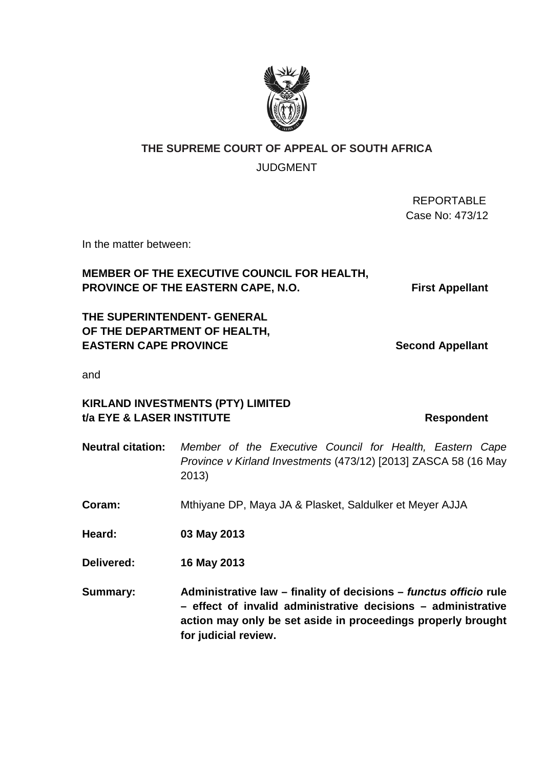# **THE SUPREME COURT OF APPEAL OF SOUTH AFRICA**  JUDGMENT

 REPORTABLE Case No: 473/12

In the matter between:

# **MEMBER OF THE EXECUTIVE COUNCIL FOR HEALTH, PROVINCE OF THE EASTERN CAPE, N.O. First Appellant**

**THE SUPERINTENDENT- GENERAL OF THE DEPARTMENT OF HEALTH, EASTERN CAPE PROVINCE** Second Appellant

and

# **KIRLAND INVESTMENTS (PTY) LIMITED t/a EYE & LASER INSTITUTE Respondent**

- **Neutral citation:** Member of the Executive Council for Health, Eastern Cape Province v Kirland Investments (473/12) [2013] ZASCA 58 (16 May 2013) **Coram:** Mthiyane DP, Maya JA & Plasket, Saldulker et Meyer AJJA **Heard: 03 May 2013 Delivered: 16 May 2013**
- **Summary: Administrative law finality of decisions functus officio rule – effect of invalid administrative decisions – administrative action may only be set aside in proceedings properly brought for judicial review.**

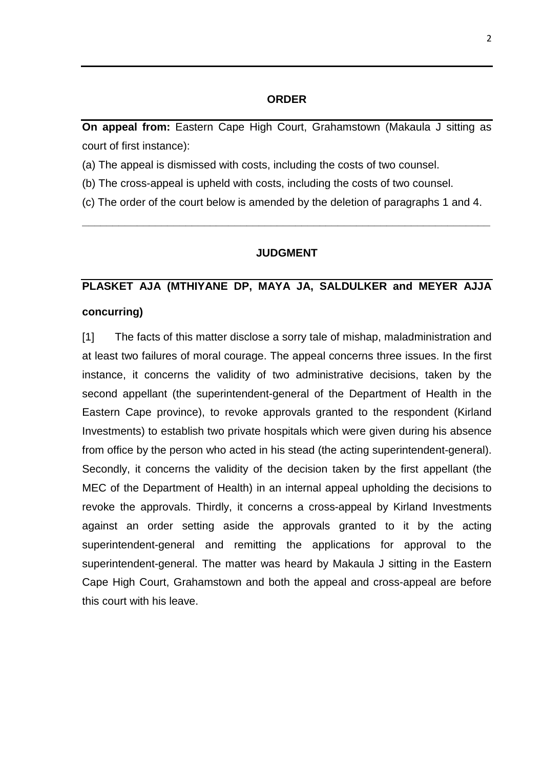### **ORDER**

**On appeal from:** Eastern Cape High Court, Grahamstown (Makaula J sitting as court of first instance):

(a) The appeal is dismissed with costs, including the costs of two counsel.

(b) The cross-appeal is upheld with costs, including the costs of two counsel.

(c) The order of the court below is amended by the deletion of paragraphs 1 and 4.

#### **JUDGMENT**

**\_\_\_\_\_\_\_\_\_\_\_\_\_\_\_\_\_\_\_\_\_\_\_\_\_\_\_\_\_\_\_\_\_\_\_\_\_\_\_\_\_\_\_\_\_\_\_\_\_\_\_\_\_\_\_\_\_\_\_\_\_\_\_\_\_\_\_** 

# **PLASKET AJA (MTHIYANE DP, MAYA JA, SALDULKER and MEYER AJJA concurring)**

[1] The facts of this matter disclose a sorry tale of mishap, maladministration and at least two failures of moral courage. The appeal concerns three issues. In the first instance, it concerns the validity of two administrative decisions, taken by the second appellant (the superintendent-general of the Department of Health in the Eastern Cape province), to revoke approvals granted to the respondent (Kirland Investments) to establish two private hospitals which were given during his absence from office by the person who acted in his stead (the acting superintendent-general). Secondly, it concerns the validity of the decision taken by the first appellant (the MEC of the Department of Health) in an internal appeal upholding the decisions to revoke the approvals. Thirdly, it concerns a cross-appeal by Kirland Investments against an order setting aside the approvals granted to it by the acting superintendent-general and remitting the applications for approval to the superintendent-general. The matter was heard by Makaula J sitting in the Eastern Cape High Court, Grahamstown and both the appeal and cross-appeal are before this court with his leave.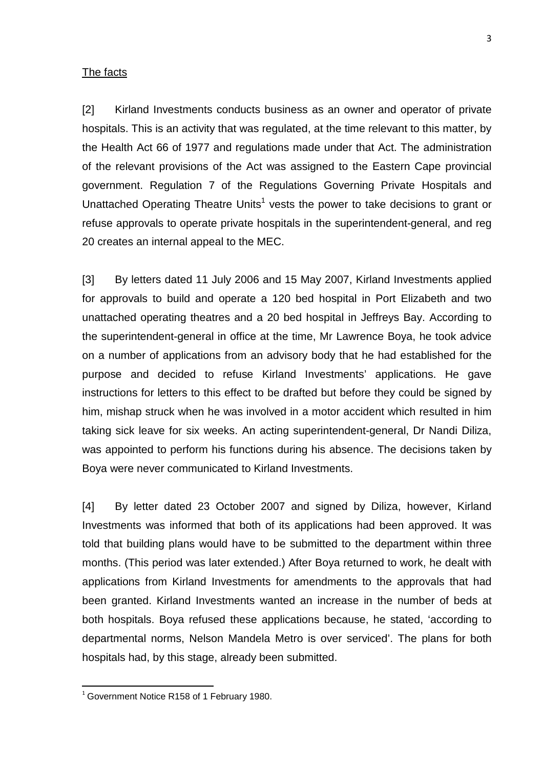#### The facts

[2] Kirland Investments conducts business as an owner and operator of private hospitals. This is an activity that was regulated, at the time relevant to this matter, by the Health Act 66 of 1977 and regulations made under that Act. The administration of the relevant provisions of the Act was assigned to the Eastern Cape provincial government. Regulation 7 of the Regulations Governing Private Hospitals and Unattached Operating Theatre Units<sup>1</sup> vests the power to take decisions to grant or refuse approvals to operate private hospitals in the superintendent-general, and reg 20 creates an internal appeal to the MEC.

[3] By letters dated 11 July 2006 and 15 May 2007, Kirland Investments applied for approvals to build and operate a 120 bed hospital in Port Elizabeth and two unattached operating theatres and a 20 bed hospital in Jeffreys Bay. According to the superintendent-general in office at the time, Mr Lawrence Boya, he took advice on a number of applications from an advisory body that he had established for the purpose and decided to refuse Kirland Investments' applications. He gave instructions for letters to this effect to be drafted but before they could be signed by him, mishap struck when he was involved in a motor accident which resulted in him taking sick leave for six weeks. An acting superintendent-general, Dr Nandi Diliza, was appointed to perform his functions during his absence. The decisions taken by Boya were never communicated to Kirland Investments.

[4] By letter dated 23 October 2007 and signed by Diliza, however, Kirland Investments was informed that both of its applications had been approved. It was told that building plans would have to be submitted to the department within three months. (This period was later extended.) After Boya returned to work, he dealt with applications from Kirland Investments for amendments to the approvals that had been granted. Kirland Investments wanted an increase in the number of beds at both hospitals. Boya refused these applications because, he stated, 'according to departmental norms, Nelson Mandela Metro is over serviced'. The plans for both hospitals had, by this stage, already been submitted.

<sup>&</sup>lt;sup>1</sup> Government Notice R158 of 1 February 1980.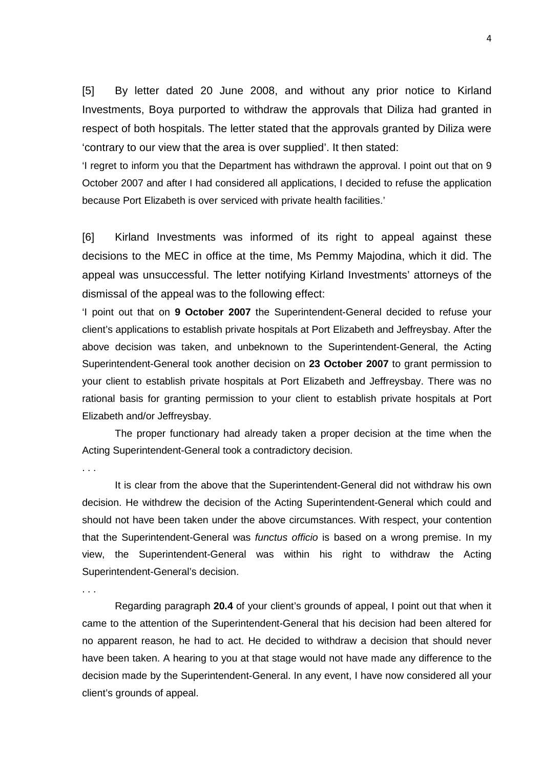[5] By letter dated 20 June 2008, and without any prior notice to Kirland Investments, Boya purported to withdraw the approvals that Diliza had granted in respect of both hospitals. The letter stated that the approvals granted by Diliza were 'contrary to our view that the area is over supplied'. It then stated:

'I regret to inform you that the Department has withdrawn the approval. I point out that on 9 October 2007 and after I had considered all applications, I decided to refuse the application because Port Elizabeth is over serviced with private health facilities.'

[6] Kirland Investments was informed of its right to appeal against these decisions to the MEC in office at the time, Ms Pemmy Majodina, which it did. The appeal was unsuccessful. The letter notifying Kirland Investments' attorneys of the dismissal of the appeal was to the following effect:

'I point out that on **9 October 2007** the Superintendent-General decided to refuse your client's applications to establish private hospitals at Port Elizabeth and Jeffreysbay. After the above decision was taken, and unbeknown to the Superintendent-General, the Acting Superintendent-General took another decision on **23 October 2007** to grant permission to your client to establish private hospitals at Port Elizabeth and Jeffreysbay. There was no rational basis for granting permission to your client to establish private hospitals at Port Elizabeth and/or Jeffreysbay.

 The proper functionary had already taken a proper decision at the time when the Acting Superintendent-General took a contradictory decision.

. . .

. . .

 It is clear from the above that the Superintendent-General did not withdraw his own decision. He withdrew the decision of the Acting Superintendent-General which could and should not have been taken under the above circumstances. With respect, your contention that the Superintendent-General was functus officio is based on a wrong premise. In my view, the Superintendent-General was within his right to withdraw the Acting Superintendent-General's decision.

 Regarding paragraph **20.4** of your client's grounds of appeal, I point out that when it came to the attention of the Superintendent-General that his decision had been altered for no apparent reason, he had to act. He decided to withdraw a decision that should never have been taken. A hearing to you at that stage would not have made any difference to the decision made by the Superintendent-General. In any event, I have now considered all your client's grounds of appeal.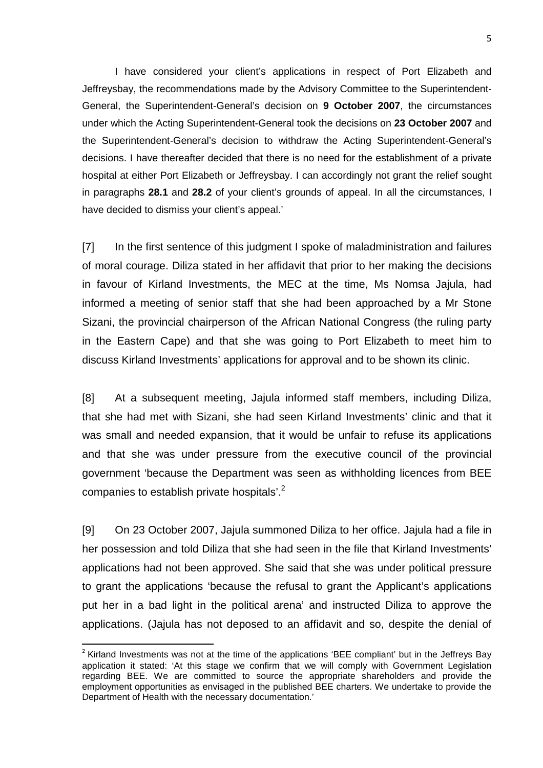I have considered your client's applications in respect of Port Elizabeth and Jeffreysbay, the recommendations made by the Advisory Committee to the Superintendent-General, the Superintendent-General's decision on **9 October 2007**, the circumstances under which the Acting Superintendent-General took the decisions on **23 October 2007** and the Superintendent-General's decision to withdraw the Acting Superintendent-General's decisions. I have thereafter decided that there is no need for the establishment of a private hospital at either Port Elizabeth or Jeffreysbay. I can accordingly not grant the relief sought in paragraphs **28.1** and **28.2** of your client's grounds of appeal. In all the circumstances, I have decided to dismiss your client's appeal.'

[7] In the first sentence of this judgment I spoke of maladministration and failures of moral courage. Diliza stated in her affidavit that prior to her making the decisions in favour of Kirland Investments, the MEC at the time, Ms Nomsa Jajula, had informed a meeting of senior staff that she had been approached by a Mr Stone Sizani, the provincial chairperson of the African National Congress (the ruling party in the Eastern Cape) and that she was going to Port Elizabeth to meet him to discuss Kirland Investments' applications for approval and to be shown its clinic.

[8] At a subsequent meeting, Jajula informed staff members, including Diliza, that she had met with Sizani, she had seen Kirland Investments' clinic and that it was small and needed expansion, that it would be unfair to refuse its applications and that she was under pressure from the executive council of the provincial government 'because the Department was seen as withholding licences from BEE companies to establish private hospitals'.<sup>2</sup>

[9] On 23 October 2007, Jajula summoned Diliza to her office. Jajula had a file in her possession and told Diliza that she had seen in the file that Kirland Investments' applications had not been approved. She said that she was under political pressure to grant the applications 'because the refusal to grant the Applicant's applications put her in a bad light in the political arena' and instructed Diliza to approve the applications. (Jajula has not deposed to an affidavit and so, despite the denial of

<sup>&</sup>lt;sup>2</sup> Kirland Investments was not at the time of the applications 'BEE compliant' but in the Jeffreys Bay application it stated: 'At this stage we confirm that we will comply with Government Legislation regarding BEE. We are committed to source the appropriate shareholders and provide the employment opportunities as envisaged in the published BEE charters. We undertake to provide the Department of Health with the necessary documentation.'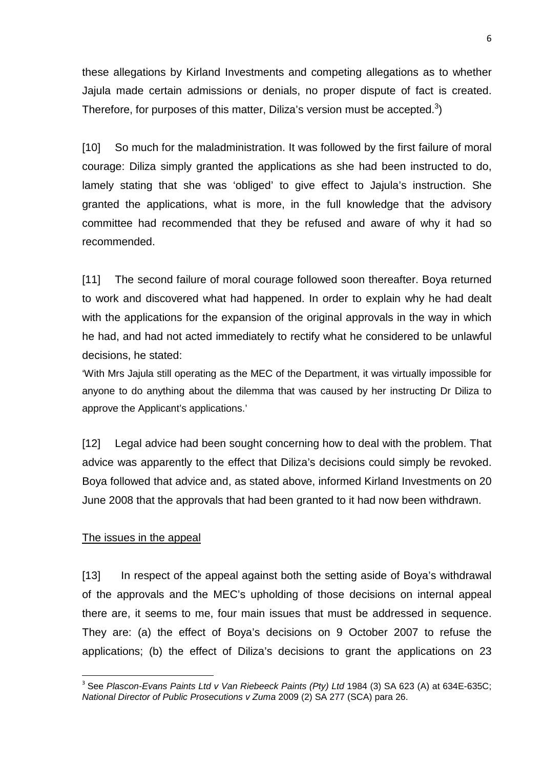these allegations by Kirland Investments and competing allegations as to whether Jajula made certain admissions or denials, no proper dispute of fact is created. Therefore, for purposes of this matter, Diliza's version must be accepted.<sup>3</sup>)

[10] So much for the maladministration. It was followed by the first failure of moral courage: Diliza simply granted the applications as she had been instructed to do, lamely stating that she was 'obliged' to give effect to Jajula's instruction. She granted the applications, what is more, in the full knowledge that the advisory committee had recommended that they be refused and aware of why it had so recommended.

[11] The second failure of moral courage followed soon thereafter. Boya returned to work and discovered what had happened. In order to explain why he had dealt with the applications for the expansion of the original approvals in the way in which he had, and had not acted immediately to rectify what he considered to be unlawful decisions, he stated:

'With Mrs Jajula still operating as the MEC of the Department, it was virtually impossible for anyone to do anything about the dilemma that was caused by her instructing Dr Diliza to approve the Applicant's applications.'

[12] Legal advice had been sought concerning how to deal with the problem. That advice was apparently to the effect that Diliza's decisions could simply be revoked. Boya followed that advice and, as stated above, informed Kirland Investments on 20 June 2008 that the approvals that had been granted to it had now been withdrawn.

#### The issues in the appeal

l

[13] In respect of the appeal against both the setting aside of Boya's withdrawal of the approvals and the MEC's upholding of those decisions on internal appeal there are, it seems to me, four main issues that must be addressed in sequence. They are: (a) the effect of Boya's decisions on 9 October 2007 to refuse the applications; (b) the effect of Diliza's decisions to grant the applications on 23

<sup>&</sup>lt;sup>3</sup> See Plascon-Evans Paints Ltd v Van Riebeeck Paints (Pty) Ltd 1984 (3) SA 623 (A) at 634E-635C; National Director of Public Prosecutions v Zuma 2009 (2) SA 277 (SCA) para 26.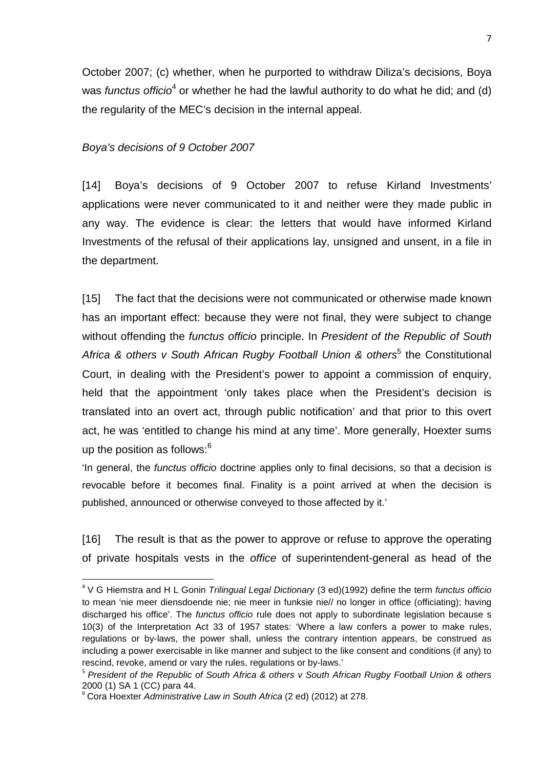October 2007; (c) whether, when he purported to withdraw Diliza's decisions, Boya was functus officio<sup>4</sup> or whether he had the lawful authority to do what he did; and (d) the regularity of the MEC's decision in the internal appeal.

#### Boya's decisions of 9 October 2007

[14] Boya's decisions of 9 October 2007 to refuse Kirland Investments' applications were never communicated to it and neither were they made public in any way. The evidence is clear: the letters that would have informed Kirland Investments of the refusal of their applications lay, unsigned and unsent, in a file in the department.

[15] The fact that the decisions were not communicated or otherwise made known has an important effect: because they were not final, they were subject to change without offending the *functus officio* principle. In *President of the Republic of South* Africa & others v South African Rugby Football Union & others<sup>5</sup> the Constitutional Court, in dealing with the President's power to appoint a commission of enquiry, held that the appointment 'only takes place when the President's decision is translated into an overt act, through public notification' and that prior to this overt act, he was 'entitled to change his mind at any time'. More generally, Hoexter sums up the position as follows: $6$ 

'In general, the functus officio doctrine applies only to final decisions, so that a decision is revocable before it becomes final. Finality is a point arrived at when the decision is published, announced or otherwise conveyed to those affected by it.'

[16] The result is that as the power to approve or refuse to approve the operating of private hospitals vests in the office of superintendent-general as head of the

<sup>&</sup>lt;sup>4</sup> V G Hiemstra and H L Gonin Trilingual Legal Dictionary (3 ed)(1992) define the term functus officio to mean 'nie meer diensdoende nie; nie meer in funksie nie// no longer in office (officiating); having discharged his office'. The functus officio rule does not apply to subordinate legislation because s 10(3) of the Interpretation Act 33 of 1957 states: 'Where a law confers a power to make rules, regulations or by-laws, the power shall, unless the contrary intention appears, be construed as including a power exercisable in like manner and subject to the like consent and conditions (if any) to rescind, revoke, amend or vary the rules, regulations or by-laws.'

<sup>&</sup>lt;sup>5</sup> President of the Republic of South Africa & others v South African Rugby Football Union & others 2000 (1) SA 1 (CC) para 44.

<sup>&</sup>lt;sup>6</sup> Cora Hoexter Administrative Law in South Africa (2 ed) (2012) at 278.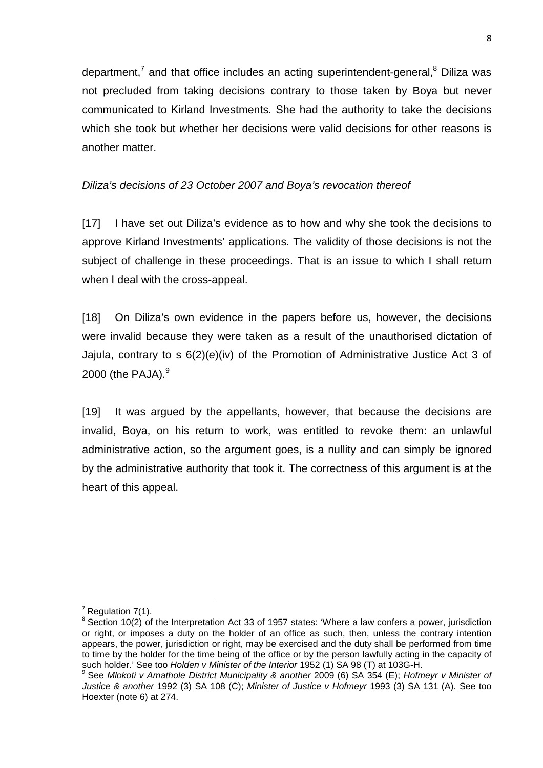department,<sup>7</sup> and that office includes an acting superintendent-general,<sup>8</sup> Diliza was not precluded from taking decisions contrary to those taken by Boya but never communicated to Kirland Investments. She had the authority to take the decisions which she took but whether her decisions were valid decisions for other reasons is another matter.

# Diliza's decisions of 23 October 2007 and Boya's revocation thereof

[17] I have set out Diliza's evidence as to how and why she took the decisions to approve Kirland Investments' applications. The validity of those decisions is not the subject of challenge in these proceedings. That is an issue to which I shall return when I deal with the cross-appeal.

[18] On Diliza's own evidence in the papers before us, however, the decisions were invalid because they were taken as a result of the unauthorised dictation of Jajula, contrary to s 6(2)(e)(iv) of the Promotion of Administrative Justice Act 3 of 2000 (the PAJA). $9$ 

[19] It was argued by the appellants, however, that because the decisions are invalid, Boya, on his return to work, was entitled to revoke them: an unlawful administrative action, so the argument goes, is a nullity and can simply be ignored by the administrative authority that took it. The correctness of this argument is at the heart of this appeal.

 $<sup>7</sup>$  Regulation 7(1).</sup>

 $8$  Section 10(2) of the Interpretation Act 33 of 1957 states: 'Where a law confers a power, jurisdiction or right, or imposes a duty on the holder of an office as such, then, unless the contrary intention appears, the power, jurisdiction or right, may be exercised and the duty shall be performed from time to time by the holder for the time being of the office or by the person lawfully acting in the capacity of such holder.' See too Holden v Minister of the Interior 1952 (1) SA 98 (T) at 103G-H.

 $9^9$  See Mlokoti v Amathole District Municipality & another 2009 (6) SA 354 (E); Hofmeyr v Minister of Justice & another 1992 (3) SA 108 (C); Minister of Justice v Hofmeyr 1993 (3) SA 131 (A). See too Hoexter (note 6) at 274.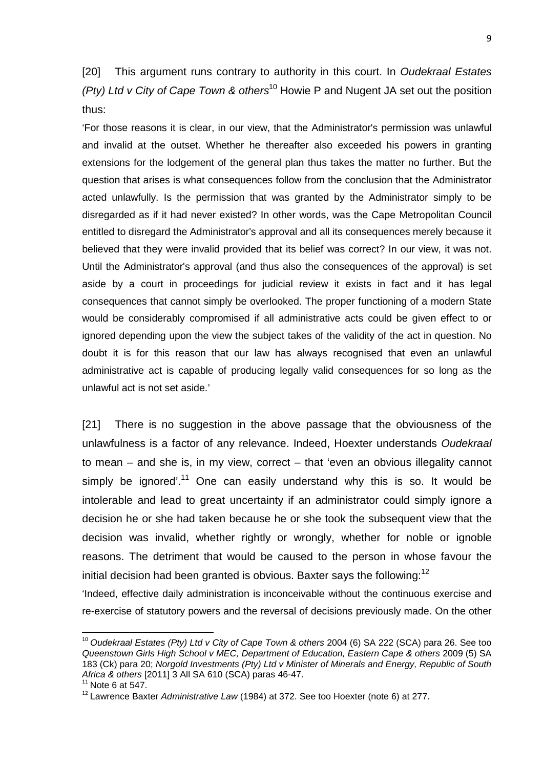[20] This argument runs contrary to authority in this court. In Oudekraal Estates (Pty) Ltd v City of Cape Town & others<sup>10</sup> Howie P and Nugent JA set out the position thus:

'For those reasons it is clear, in our view, that the Administrator's permission was unlawful and invalid at the outset. Whether he thereafter also exceeded his powers in granting extensions for the lodgement of the general plan thus takes the matter no further. But the question that arises is what consequences follow from the conclusion that the Administrator acted unlawfully. Is the permission that was granted by the Administrator simply to be disregarded as if it had never existed? In other words, was the Cape Metropolitan Council entitled to disregard the Administrator's approval and all its consequences merely because it believed that they were invalid provided that its belief was correct? In our view, it was not. Until the Administrator's approval (and thus also the consequences of the approval) is set aside by a court in proceedings for judicial review it exists in fact and it has legal consequences that cannot simply be overlooked. The proper functioning of a modern State would be considerably compromised if all administrative acts could be given effect to or ignored depending upon the view the subject takes of the validity of the act in question. No doubt it is for this reason that our law has always recognised that even an unlawful administrative act is capable of producing legally valid consequences for so long as the unlawful act is not set aside.'

[21] There is no suggestion in the above passage that the obviousness of the unlawfulness is a factor of any relevance. Indeed, Hoexter understands Oudekraal to mean – and she is, in my view, correct – that 'even an obvious illegality cannot simply be ignored'.<sup>11</sup> One can easily understand why this is so. It would be intolerable and lead to great uncertainty if an administrator could simply ignore a decision he or she had taken because he or she took the subsequent view that the decision was invalid, whether rightly or wrongly, whether for noble or ignoble reasons. The detriment that would be caused to the person in whose favour the initial decision had been granted is obvious. Baxter says the following: $12$ 

'Indeed, effective daily administration is inconceivable without the continuous exercise and re-exercise of statutory powers and the reversal of decisions previously made. On the other

<sup>&</sup>lt;sup>10</sup> Oudekraal Estates (Pty) Ltd v City of Cape Town & others 2004 (6) SA 222 (SCA) para 26. See too Queenstown Girls High School v MEC, Department of Education, Eastern Cape & others 2009 (5) SA 183 (Ck) para 20; Norgold Investments (Pty) Ltd v Minister of Minerals and Energy, Republic of South Africa & others [2011] 3 All SA 610 (SCA) paras 46-47.

 $11$  Note 6 at 547.

 $12$  Lawrence Baxter Administrative Law (1984) at 372. See too Hoexter (note 6) at 277.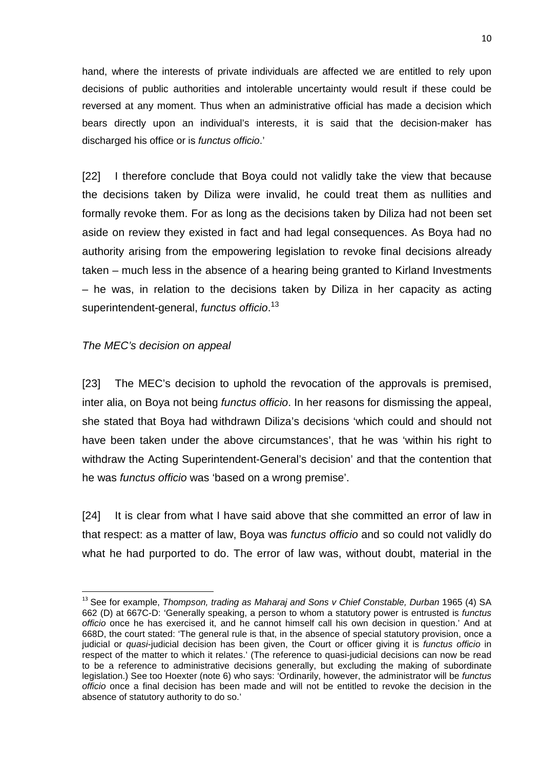hand, where the interests of private individuals are affected we are entitled to rely upon decisions of public authorities and intolerable uncertainty would result if these could be reversed at any moment. Thus when an administrative official has made a decision which bears directly upon an individual's interests, it is said that the decision-maker has discharged his office or is functus officio.'

[22] I therefore conclude that Boya could not validly take the view that because the decisions taken by Diliza were invalid, he could treat them as nullities and formally revoke them. For as long as the decisions taken by Diliza had not been set aside on review they existed in fact and had legal consequences. As Boya had no authority arising from the empowering legislation to revoke final decisions already taken – much less in the absence of a hearing being granted to Kirland Investments – he was, in relation to the decisions taken by Diliza in her capacity as acting superintendent-general, *functus officio*.<sup>13</sup>

#### The MEC's decision on appeal

 $\overline{a}$ 

[23] The MEC's decision to uphold the revocation of the approvals is premised, inter alia, on Boya not being functus officio. In her reasons for dismissing the appeal, she stated that Boya had withdrawn Diliza's decisions 'which could and should not have been taken under the above circumstances', that he was 'within his right to withdraw the Acting Superintendent-General's decision' and that the contention that he was functus officio was 'based on a wrong premise'.

[24] It is clear from what I have said above that she committed an error of law in that respect: as a matter of law, Boya was functus officio and so could not validly do what he had purported to do. The error of law was, without doubt, material in the

 $13$  See for example, Thompson, trading as Maharaj and Sons v Chief Constable, Durban 1965 (4) SA 662 (D) at 667C-D: 'Generally speaking, a person to whom a statutory power is entrusted is functus officio once he has exercised it, and he cannot himself call his own decision in question.' And at 668D, the court stated: 'The general rule is that, in the absence of special statutory provision, once a judicial or *quasi*-judicial decision has been given, the Court or officer giving it is *functus officio* in respect of the matter to which it relates.' (The reference to quasi-judicial decisions can now be read to be a reference to administrative decisions generally, but excluding the making of subordinate legislation.) See too Hoexter (note 6) who says: 'Ordinarily, however, the administrator will be functus officio once a final decision has been made and will not be entitled to revoke the decision in the absence of statutory authority to do so.'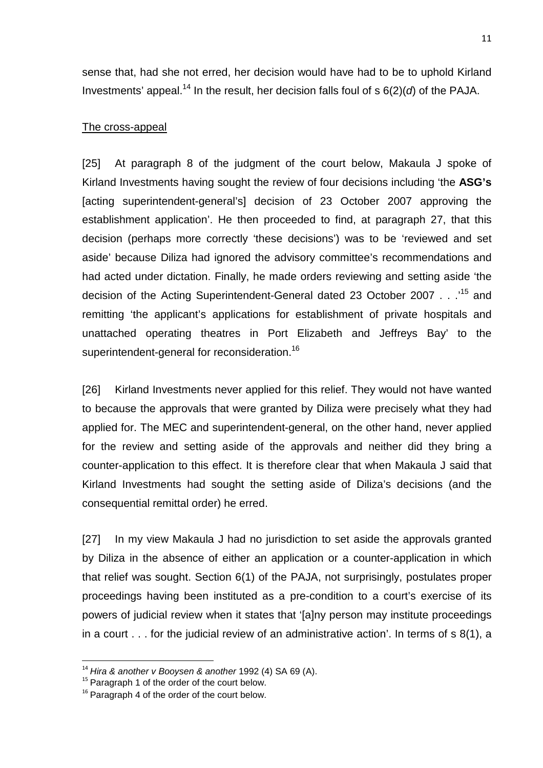sense that, had she not erred, her decision would have had to be to uphold Kirland Investments' appeal.<sup>14</sup> In the result, her decision falls foul of s  $6(2)(d)$  of the PAJA.

## The cross-appeal

[25] At paragraph 8 of the judgment of the court below, Makaula J spoke of Kirland Investments having sought the review of four decisions including 'the **ASG's** [acting superintendent-general's] decision of 23 October 2007 approving the establishment application'. He then proceeded to find, at paragraph 27, that this decision (perhaps more correctly 'these decisions') was to be 'reviewed and set aside' because Diliza had ignored the advisory committee's recommendations and had acted under dictation. Finally, he made orders reviewing and setting aside 'the decision of the Acting Superintendent-General dated 23 October 2007 . . .'<sup>15</sup> and remitting 'the applicant's applications for establishment of private hospitals and unattached operating theatres in Port Elizabeth and Jeffreys Bay' to the superintendent-general for reconsideration.<sup>16</sup>

[26] Kirland Investments never applied for this relief. They would not have wanted to because the approvals that were granted by Diliza were precisely what they had applied for. The MEC and superintendent-general, on the other hand, never applied for the review and setting aside of the approvals and neither did they bring a counter-application to this effect. It is therefore clear that when Makaula J said that Kirland Investments had sought the setting aside of Diliza's decisions (and the consequential remittal order) he erred.

[27] In my view Makaula J had no jurisdiction to set aside the approvals granted by Diliza in the absence of either an application or a counter-application in which that relief was sought. Section 6(1) of the PAJA, not surprisingly, postulates proper proceedings having been instituted as a pre-condition to a court's exercise of its powers of judicial review when it states that '[a]ny person may institute proceedings in a court . . . for the judicial review of an administrative action'. In terms of s 8(1), a

 $14$  Hira & another v Booysen & another 1992 (4) SA 69 (A).

<sup>&</sup>lt;sup>15</sup> Paragraph 1 of the order of the court below.

 $16$  Paragraph 4 of the order of the court below.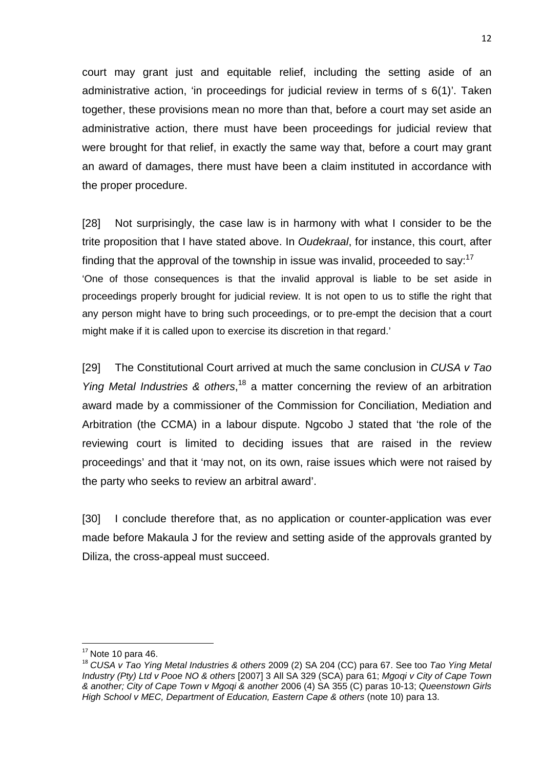court may grant just and equitable relief, including the setting aside of an administrative action, 'in proceedings for judicial review in terms of s 6(1)'. Taken together, these provisions mean no more than that, before a court may set aside an administrative action, there must have been proceedings for judicial review that were brought for that relief, in exactly the same way that, before a court may grant an award of damages, there must have been a claim instituted in accordance with the proper procedure.

[28] Not surprisingly, the case law is in harmony with what I consider to be the trite proposition that I have stated above. In Oudekraal, for instance, this court, after finding that the approval of the township in issue was invalid, proceeded to say:  $17$ 'One of those consequences is that the invalid approval is liable to be set aside in proceedings properly brought for judicial review. It is not open to us to stifle the right that any person might have to bring such proceedings, or to pre-empt the decision that a court might make if it is called upon to exercise its discretion in that regard.'

[29] The Constitutional Court arrived at much the same conclusion in CUSA v Tao Ying Metal Industries & others,<sup>18</sup> a matter concerning the review of an arbitration award made by a commissioner of the Commission for Conciliation, Mediation and Arbitration (the CCMA) in a labour dispute. Ngcobo J stated that 'the role of the reviewing court is limited to deciding issues that are raised in the review proceedings' and that it 'may not, on its own, raise issues which were not raised by the party who seeks to review an arbitral award'.

[30] I conclude therefore that, as no application or counter-application was ever made before Makaula J for the review and setting aside of the approvals granted by Diliza, the cross-appeal must succeed.

 $17$  Note 10 para 46.

<sup>&</sup>lt;sup>18</sup> CUSA v Tao Ying Metal Industries & others 2009 (2) SA 204 (CC) para 67. See too Tao Ying Metal Industry (Pty) Ltd v Pooe NO & others [2007] 3 All SA 329 (SCA) para 61; Mgoqi v City of Cape Town & another; City of Cape Town v Mgoqi & another 2006 (4) SA 355 (C) paras 10-13; Queenstown Girls High School v MEC, Department of Education, Eastern Cape & others (note 10) para 13.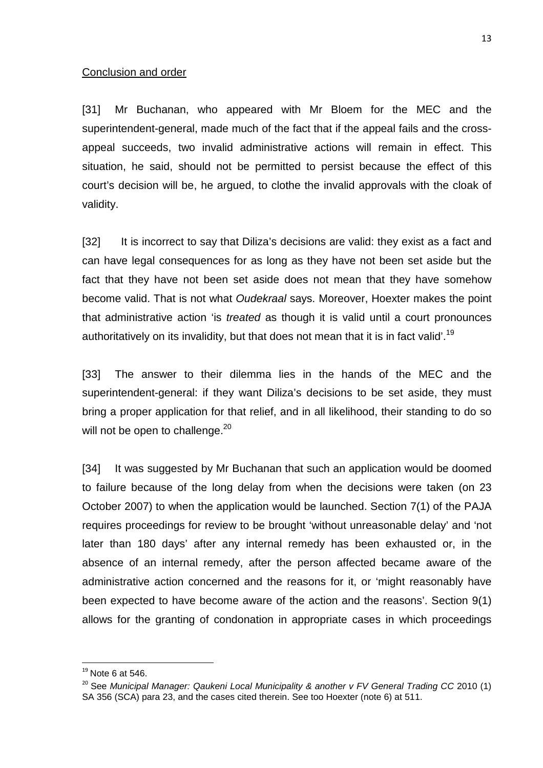#### Conclusion and order

[31] Mr Buchanan, who appeared with Mr Bloem for the MEC and the superintendent-general, made much of the fact that if the appeal fails and the crossappeal succeeds, two invalid administrative actions will remain in effect. This situation, he said, should not be permitted to persist because the effect of this court's decision will be, he argued, to clothe the invalid approvals with the cloak of validity.

[32] It is incorrect to say that Diliza's decisions are valid: they exist as a fact and can have legal consequences for as long as they have not been set aside but the fact that they have not been set aside does not mean that they have somehow become valid. That is not what Oudekraal says. Moreover, Hoexter makes the point that administrative action 'is treated as though it is valid until a court pronounces authoritatively on its invalidity, but that does not mean that it is in fact valid'.<sup>19</sup>

[33] The answer to their dilemma lies in the hands of the MEC and the superintendent-general: if they want Diliza's decisions to be set aside, they must bring a proper application for that relief, and in all likelihood, their standing to do so will not be open to challenge. $^{20}$ 

[34] It was suggested by Mr Buchanan that such an application would be doomed to failure because of the long delay from when the decisions were taken (on 23 October 2007) to when the application would be launched. Section 7(1) of the PAJA requires proceedings for review to be brought 'without unreasonable delay' and 'not later than 180 days' after any internal remedy has been exhausted or, in the absence of an internal remedy, after the person affected became aware of the administrative action concerned and the reasons for it, or 'might reasonably have been expected to have become aware of the action and the reasons'. Section 9(1) allows for the granting of condonation in appropriate cases in which proceedings

 $19$  Note 6 at 546.

 $20$  See Municipal Manager: Qaukeni Local Municipality & another v FV General Trading CC 2010 (1) SA 356 (SCA) para 23, and the cases cited therein. See too Hoexter (note 6) at 511.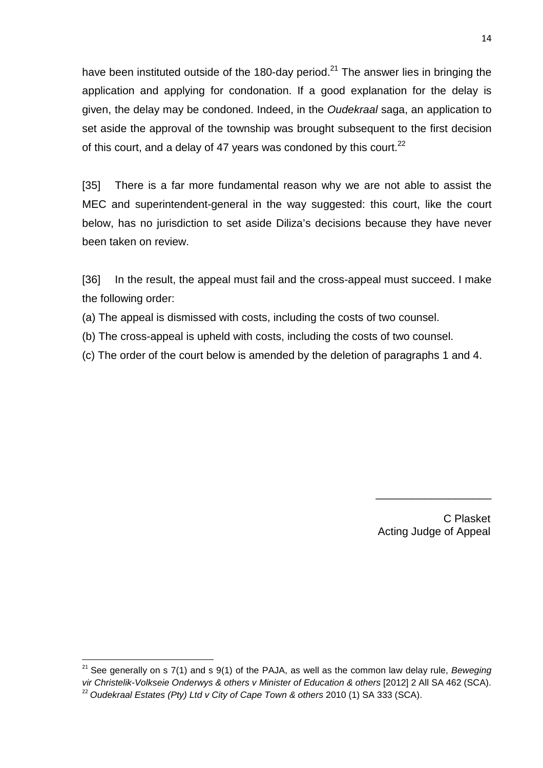have been instituted outside of the 180-day period.<sup>21</sup> The answer lies in bringing the application and applying for condonation. If a good explanation for the delay is given, the delay may be condoned. Indeed, in the Oudekraal saga, an application to set aside the approval of the township was brought subsequent to the first decision of this court, and a delay of 47 years was condoned by this court. $^{22}$ 

[35] There is a far more fundamental reason why we are not able to assist the MEC and superintendent-general in the way suggested: this court, like the court below, has no jurisdiction to set aside Diliza's decisions because they have never been taken on review.

[36] In the result, the appeal must fail and the cross-appeal must succeed. I make the following order:

- (a) The appeal is dismissed with costs, including the costs of two counsel.
- (b) The cross-appeal is upheld with costs, including the costs of two counsel.
- (c) The order of the court below is amended by the deletion of paragraphs 1 and 4.

 C Plasket Acting Judge of Appeal

 $\frac{1}{2}$  ,  $\frac{1}{2}$  ,  $\frac{1}{2}$  ,  $\frac{1}{2}$  ,  $\frac{1}{2}$  ,  $\frac{1}{2}$  ,  $\frac{1}{2}$  ,  $\frac{1}{2}$  ,  $\frac{1}{2}$  ,  $\frac{1}{2}$  ,  $\frac{1}{2}$  ,  $\frac{1}{2}$  ,  $\frac{1}{2}$  ,  $\frac{1}{2}$  ,  $\frac{1}{2}$  ,  $\frac{1}{2}$  ,  $\frac{1}{2}$  ,  $\frac{1}{2}$  ,  $\frac{1$ 

 $21$  See generally on s 7(1) and s 9(1) of the PAJA, as well as the common law delay rule, Beweging vir Christelik-Volkseie Onderwys & others v Minister of Education & others [2012] 2 All SA 462 (SCA).  $^{22}$  Oudekraal Estates (Pty) Ltd v City of Cape Town & others 2010 (1) SA 333 (SCA).